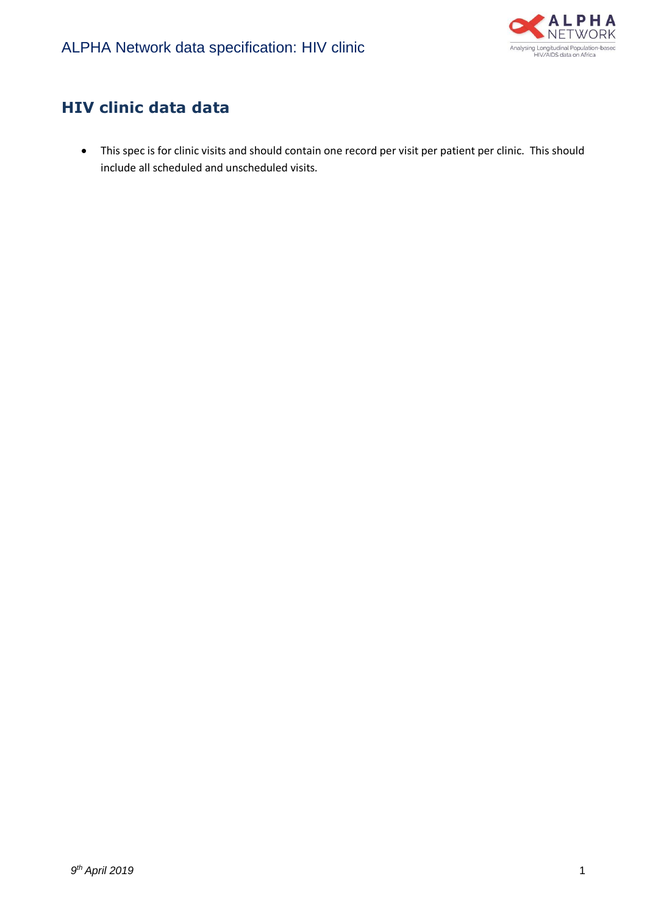

## **HIV clinic data data**

• This spec is for clinic visits and should contain one record per visit per patient per clinic. This should include all scheduled and unscheduled visits.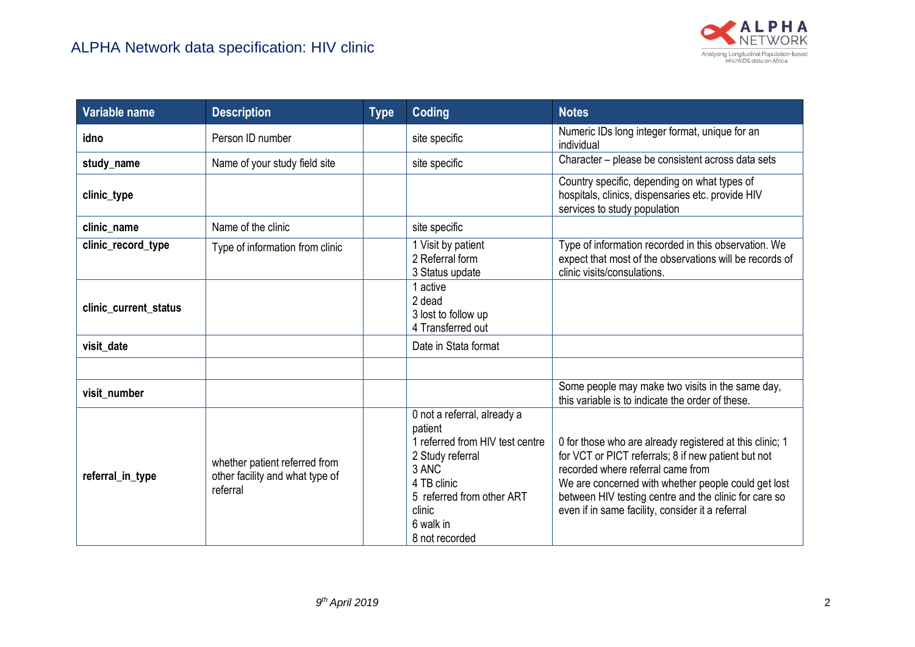

| Variable name         | <b>Description</b>                                                           | <b>Type</b> | Coding                                                                                                                                                                                    | <b>Notes</b>                                                                                                                                                                                                                                                                                                             |
|-----------------------|------------------------------------------------------------------------------|-------------|-------------------------------------------------------------------------------------------------------------------------------------------------------------------------------------------|--------------------------------------------------------------------------------------------------------------------------------------------------------------------------------------------------------------------------------------------------------------------------------------------------------------------------|
| idno                  | Person ID number                                                             |             | site specific                                                                                                                                                                             | Numeric IDs long integer format, unique for an<br>individual                                                                                                                                                                                                                                                             |
| study_name            | Name of your study field site                                                |             | site specific                                                                                                                                                                             | Character – please be consistent across data sets                                                                                                                                                                                                                                                                        |
| clinic_type           |                                                                              |             |                                                                                                                                                                                           | Country specific, depending on what types of<br>hospitals, clinics, dispensaries etc. provide HIV<br>services to study population                                                                                                                                                                                        |
| clinic_name           | Name of the clinic                                                           |             | site specific                                                                                                                                                                             |                                                                                                                                                                                                                                                                                                                          |
| clinic_record_type    | Type of information from clinic                                              |             | Visit by patient<br>2 Referral form<br>3 Status update                                                                                                                                    | Type of information recorded in this observation. We<br>expect that most of the observations will be records of<br>clinic visits/consulations.                                                                                                                                                                           |
| clinic_current_status |                                                                              |             | active<br>2 dead<br>3 lost to follow up<br>4 Transferred out                                                                                                                              |                                                                                                                                                                                                                                                                                                                          |
| visit date            |                                                                              |             | Date in Stata format                                                                                                                                                                      |                                                                                                                                                                                                                                                                                                                          |
| visit number          |                                                                              |             |                                                                                                                                                                                           | Some people may make two visits in the same day,<br>this variable is to indicate the order of these.                                                                                                                                                                                                                     |
| referral_in_type      | whether patient referred from<br>other facility and what type of<br>referral |             | 0 not a referral, already a<br>patient<br>referred from HIV test centre<br>2 Study referral<br>3 ANC<br>4 TB clinic<br>5 referred from other ART<br>clinic<br>6 walk in<br>8 not recorded | 0 for those who are already registered at this clinic; 1<br>for VCT or PICT referrals; 8 if new patient but not<br>recorded where referral came from<br>We are concerned with whether people could get lost<br>between HIV testing centre and the clinic for care so<br>even if in same facility, consider it a referral |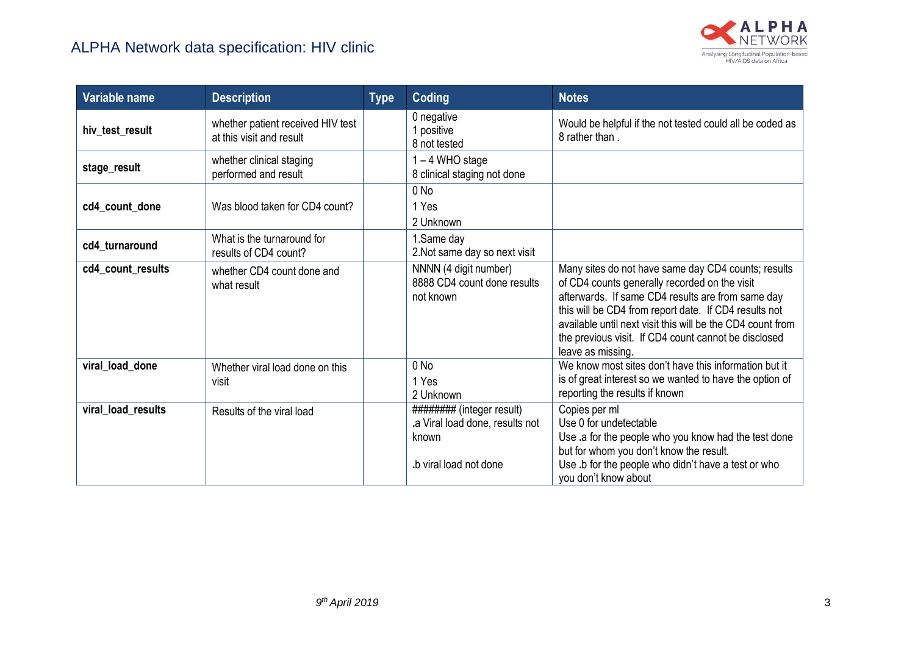

| Variable name      | <b>Description</b>                                            | <b>Type</b> | Coding                                                                                           | <b>Notes</b>                                                                                                                                                                                                                                                                                                                                                  |
|--------------------|---------------------------------------------------------------|-------------|--------------------------------------------------------------------------------------------------|---------------------------------------------------------------------------------------------------------------------------------------------------------------------------------------------------------------------------------------------------------------------------------------------------------------------------------------------------------------|
| hiv_test_result    | whether patient received HIV test<br>at this visit and result |             | 0 negative<br>1 positive<br>8 not tested                                                         | Would be helpful if the not tested could all be coded as<br>8 rather than.                                                                                                                                                                                                                                                                                    |
| stage_result       | whether clinical staging<br>performed and result              |             | 1-4 WHO stage<br>8 clinical staging not done                                                     |                                                                                                                                                                                                                                                                                                                                                               |
| cd4_count_done     | Was blood taken for CD4 count?                                |             | $0$ No<br>1 Yes<br>2 Unknown                                                                     |                                                                                                                                                                                                                                                                                                                                                               |
| cd4 turnaround     | What is the turnaround for<br>results of CD4 count?           |             | 1.Same day<br>2. Not same day so next visit                                                      |                                                                                                                                                                                                                                                                                                                                                               |
| cd4_count_results  | whether CD4 count done and<br>what result                     |             | NNNN (4 digit number)<br>8888 CD4 count done results<br>not known                                | Many sites do not have same day CD4 counts; results<br>of CD4 counts generally recorded on the visit<br>afterwards. If same CD4 results are from same day<br>this will be CD4 from report date. If CD4 results not<br>available until next visit this will be the CD4 count from<br>the previous visit. If CD4 count cannot be disclosed<br>leave as missing. |
| viral_load_done    | Whether viral load done on this<br>visit                      |             | $0$ No<br>1 Yes<br>2 Unknown                                                                     | We know most sites don't have this information but it<br>is of great interest so we wanted to have the option of<br>reporting the results if known                                                                                                                                                                                                            |
| viral_load_results | Results of the viral load                                     |             | ######### (integer result)<br>.a Viral load done, results not<br>known<br>b viral load not done. | Copies per ml<br>Use 0 for undetectable<br>Use .a for the people who you know had the test done<br>but for whom you don't know the result.<br>Use .b for the people who didn't have a test or who<br>you don't know about                                                                                                                                     |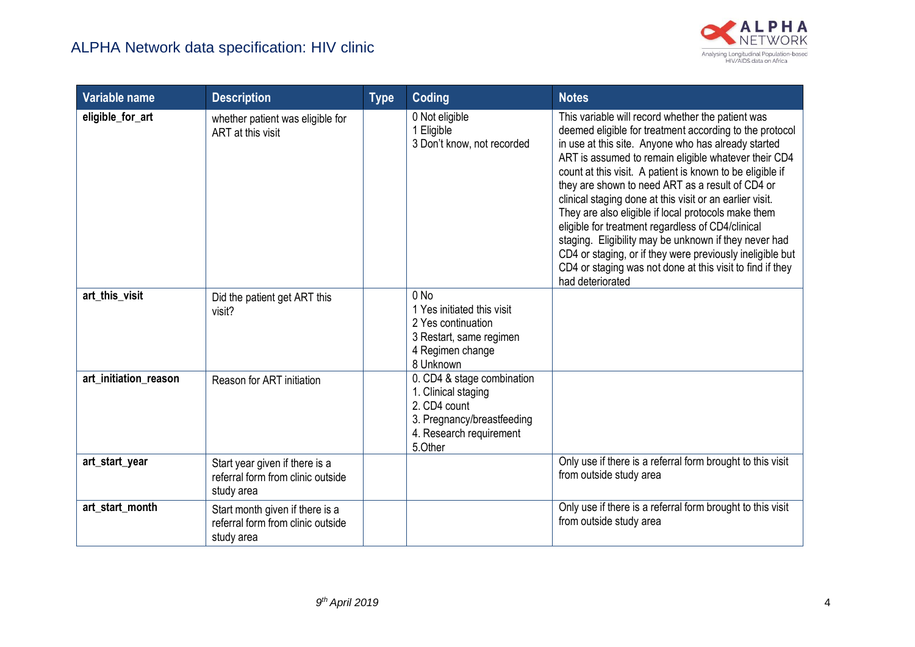

| Variable name         | <b>Description</b>                                                                 | <b>Type</b> | Coding                                                                                                                                | <b>Notes</b>                                                                                                                                                                                                                                                                                                                                                                                                                                                                                                                                                                                                                                                                                                                |
|-----------------------|------------------------------------------------------------------------------------|-------------|---------------------------------------------------------------------------------------------------------------------------------------|-----------------------------------------------------------------------------------------------------------------------------------------------------------------------------------------------------------------------------------------------------------------------------------------------------------------------------------------------------------------------------------------------------------------------------------------------------------------------------------------------------------------------------------------------------------------------------------------------------------------------------------------------------------------------------------------------------------------------------|
| eligible_for_art      | whether patient was eligible for<br>ART at this visit                              |             | 0 Not eligible<br>1 Eligible<br>3 Don't know, not recorded                                                                            | This variable will record whether the patient was<br>deemed eligible for treatment according to the protocol<br>in use at this site. Anyone who has already started<br>ART is assumed to remain eligible whatever their CD4<br>count at this visit. A patient is known to be eligible if<br>they are shown to need ART as a result of CD4 or<br>clinical staging done at this visit or an earlier visit.<br>They are also eligible if local protocols make them<br>eligible for treatment regardless of CD4/clinical<br>staging. Eligibility may be unknown if they never had<br>CD4 or staging, or if they were previously ineligible but<br>CD4 or staging was not done at this visit to find if they<br>had deteriorated |
| art_this_visit        | Did the patient get ART this<br>visit?                                             |             | $0$ No<br>1 Yes initiated this visit<br>2 Yes continuation<br>3 Restart, same regimen<br>4 Regimen change<br>8 Unknown                |                                                                                                                                                                                                                                                                                                                                                                                                                                                                                                                                                                                                                                                                                                                             |
| art_initiation_reason | Reason for ART initiation                                                          |             | 0. CD4 & stage combination<br>1. Clinical staging<br>2. CD4 count<br>3. Pregnancy/breastfeeding<br>4. Research requirement<br>5.Other |                                                                                                                                                                                                                                                                                                                                                                                                                                                                                                                                                                                                                                                                                                                             |
| art_start_year        | Start year given if there is a<br>referral form from clinic outside<br>study area  |             |                                                                                                                                       | Only use if there is a referral form brought to this visit<br>from outside study area                                                                                                                                                                                                                                                                                                                                                                                                                                                                                                                                                                                                                                       |
| art_start_month       | Start month given if there is a<br>referral form from clinic outside<br>study area |             |                                                                                                                                       | Only use if there is a referral form brought to this visit<br>from outside study area                                                                                                                                                                                                                                                                                                                                                                                                                                                                                                                                                                                                                                       |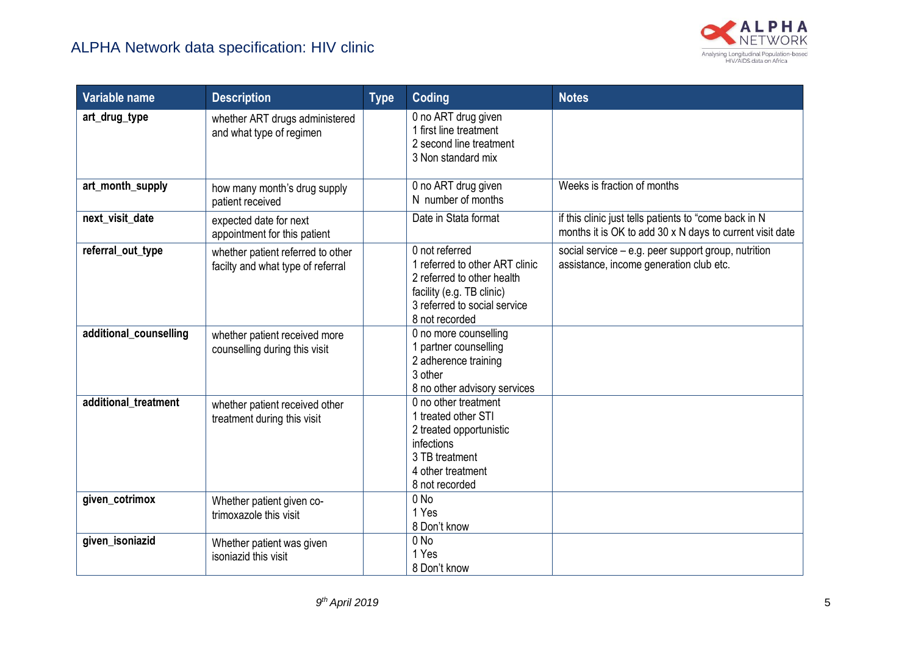

| Variable name          | <b>Description</b>                                                     | <b>Type</b> | <b>Coding</b>                                                                                                                                                 | <b>Notes</b>                                                                                                      |
|------------------------|------------------------------------------------------------------------|-------------|---------------------------------------------------------------------------------------------------------------------------------------------------------------|-------------------------------------------------------------------------------------------------------------------|
| art_drug_type          | whether ART drugs administered<br>and what type of regimen             |             | 0 no ART drug given<br>1 first line treatment<br>2 second line treatment<br>3 Non standard mix                                                                |                                                                                                                   |
| art_month_supply       | how many month's drug supply<br>patient received                       |             | 0 no ART drug given<br>N number of months                                                                                                                     | Weeks is fraction of months                                                                                       |
| next_visit_date        | expected date for next<br>appointment for this patient                 |             | Date in Stata format                                                                                                                                          | if this clinic just tells patients to "come back in N<br>months it is OK to add 30 x N days to current visit date |
| referral_out_type      | whether patient referred to other<br>facilty and what type of referral |             | 0 not referred<br>1 referred to other ART clinic<br>2 referred to other health<br>facility (e.g. TB clinic)<br>3 referred to social service<br>8 not recorded | social service - e.g. peer support group, nutrition<br>assistance, income generation club etc.                    |
| additional_counselling | whether patient received more<br>counselling during this visit         |             | 0 no more counselling<br>1 partner counselling<br>2 adherence training<br>3 other<br>8 no other advisory services                                             |                                                                                                                   |
| additional_treatment   | whether patient received other<br>treatment during this visit          |             | 0 no other treatment<br>1 treated other STI<br>2 treated opportunistic<br>infections<br>3 TB treatment<br>4 other treatment<br>8 not recorded                 |                                                                                                                   |
| given_cotrimox         | Whether patient given co-<br>trimoxazole this visit                    |             | $0$ No<br>1 Yes<br>8 Don't know                                                                                                                               |                                                                                                                   |
| given_isoniazid        | Whether patient was given<br>isoniazid this visit                      |             | $0$ No<br>1 Yes<br>8 Don't know                                                                                                                               |                                                                                                                   |